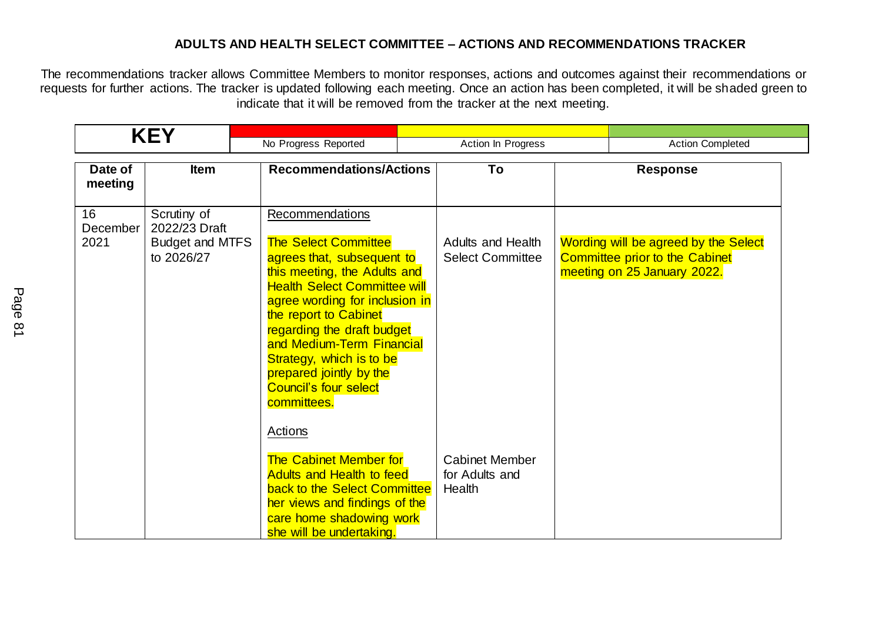## **ADULTS AND HEALTH SELECT COMMITTEE – ACTIONS AND RECOMMENDATIONS TRACKER**

The recommendations tracker allows Committee Members to monitor responses, actions and outcomes against their recommendations or requests for further actions. The tracker is updated following each meeting. Once an action has been completed, it will be shaded green to indicate that it will be removed from the tracker at the next meeting.

|                        | <b>KEY</b>                                                           | No Progress Reported                                                                                                                                                                                                                                                                                                                                                            | Action In Progress                                  | <b>Action Completed</b> |                                                                                                              |
|------------------------|----------------------------------------------------------------------|---------------------------------------------------------------------------------------------------------------------------------------------------------------------------------------------------------------------------------------------------------------------------------------------------------------------------------------------------------------------------------|-----------------------------------------------------|-------------------------|--------------------------------------------------------------------------------------------------------------|
| Date of<br>meeting     | <b>Item</b>                                                          | <b>Recommendations/Actions</b>                                                                                                                                                                                                                                                                                                                                                  | To                                                  |                         | <b>Response</b>                                                                                              |
| 16<br>December<br>2021 | Scrutiny of<br>2022/23 Draft<br><b>Budget and MTFS</b><br>to 2026/27 | Recommendations<br><b>The Select Committee</b><br>agrees that, subsequent to<br>this meeting, the Adults and<br><b>Health Select Committee will</b><br>agree wording for inclusion in<br>the report to Cabinet<br>regarding the draft budget<br>and Medium-Term Financial<br>Strategy, which is to be<br>prepared jointly by the<br><b>Council's four select</b><br>committees. | <b>Adults and Health</b><br><b>Select Committee</b> |                         | Wording will be agreed by the Select<br><b>Committee prior to the Cabinet</b><br>meeting on 25 January 2022. |
|                        |                                                                      | Actions<br><b>The Cabinet Member for</b><br><b>Adults and Health to feed</b><br>back to the Select Committee<br>her views and findings of the<br>care home shadowing work<br>she will be undertaking.                                                                                                                                                                           | <b>Cabinet Member</b><br>for Adults and<br>Health   |                         |                                                                                                              |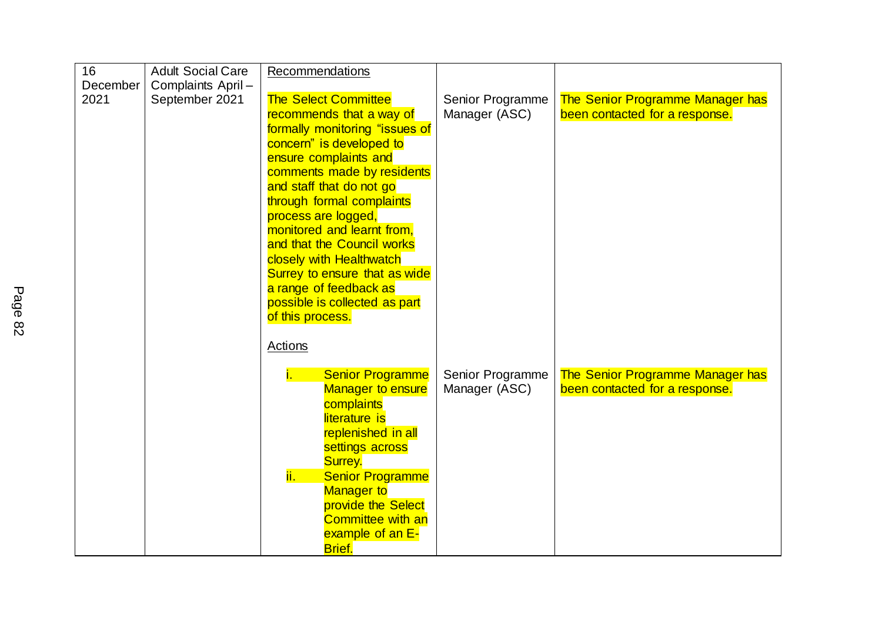| 16       | <b>Adult Social Care</b> | Recommendations                               |                  |                                         |
|----------|--------------------------|-----------------------------------------------|------------------|-----------------------------------------|
| December | Complaints April-        |                                               |                  |                                         |
| 2021     | September 2021           | <b>The Select Committee</b>                   | Senior Programme | <b>The Senior Programme Manager has</b> |
|          |                          | recommends that a way of                      | Manager (ASC)    | been contacted for a response.          |
|          |                          | formally monitoring "issues of                |                  |                                         |
|          |                          | concern" is developed to                      |                  |                                         |
|          |                          | ensure complaints and                         |                  |                                         |
|          |                          | comments made by residents                    |                  |                                         |
|          |                          | and staff that do not go                      |                  |                                         |
|          |                          | through formal complaints                     |                  |                                         |
|          |                          | process are logged,                           |                  |                                         |
|          |                          | monitored and learnt from.                    |                  |                                         |
|          |                          | and that the Council works                    |                  |                                         |
|          |                          | closely with Healthwatch                      |                  |                                         |
|          |                          | Surrey to ensure that as wide                 |                  |                                         |
|          |                          | a range of feedback as                        |                  |                                         |
|          |                          | possible is collected as part                 |                  |                                         |
|          |                          | of this process.                              |                  |                                         |
|          |                          | Actions                                       |                  |                                         |
|          |                          |                                               |                  |                                         |
|          |                          | <b>Senior Programme</b><br>ï.                 | Senior Programme | <b>The Senior Programme Manager has</b> |
|          |                          | <b>Manager to ensure</b>                      | Manager (ASC)    | been contacted for a response.          |
|          |                          | complaints                                    |                  |                                         |
|          |                          | literature is                                 |                  |                                         |
|          |                          | replenished in all                            |                  |                                         |
|          |                          | settings across                               |                  |                                         |
|          |                          | Surrey.                                       |                  |                                         |
|          |                          | <mark>ii. I</mark><br><b>Senior Programme</b> |                  |                                         |
|          |                          | <b>Manager to</b>                             |                  |                                         |
|          |                          | provide the Select                            |                  |                                         |
|          |                          | <b>Committee with an</b>                      |                  |                                         |
|          |                          | example of an E-                              |                  |                                         |
|          |                          | <b>Brief.</b>                                 |                  |                                         |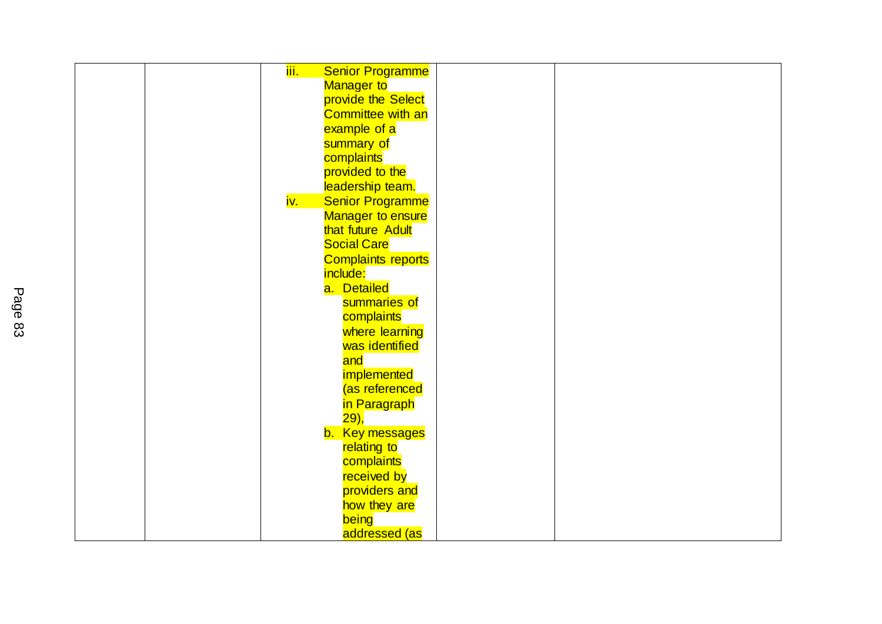| <mark>iii. -</mark> |                           |  |
|---------------------|---------------------------|--|
|                     | <b>Senior Programme</b>   |  |
|                     | Manager to                |  |
|                     | provide the Select        |  |
|                     | <b>Committee with an</b>  |  |
|                     | example of a              |  |
|                     | summary of                |  |
|                     | complaints                |  |
|                     | provided to the           |  |
|                     | leadership team.          |  |
| <mark>iv. .</mark>  | <b>Senior Programme</b>   |  |
|                     | <b>Manager to ensure</b>  |  |
|                     | that future Adult         |  |
|                     | <b>Social Care</b>        |  |
|                     | <b>Complaints reports</b> |  |
|                     | include:                  |  |
|                     | a. Detailed               |  |
|                     | summaries of              |  |
|                     |                           |  |
|                     | complaints                |  |
|                     | where learning            |  |
|                     | was identified            |  |
|                     | and                       |  |
|                     | implemented               |  |
|                     | (as referenced            |  |
|                     | in Paragraph              |  |
|                     | <mark>29),</mark>         |  |
|                     | b. Key messages           |  |
|                     | relating to               |  |
|                     | complaints                |  |
|                     | received by               |  |
|                     | providers and             |  |
|                     | how they are              |  |
|                     | being                     |  |
|                     | addressed (as             |  |
|                     |                           |  |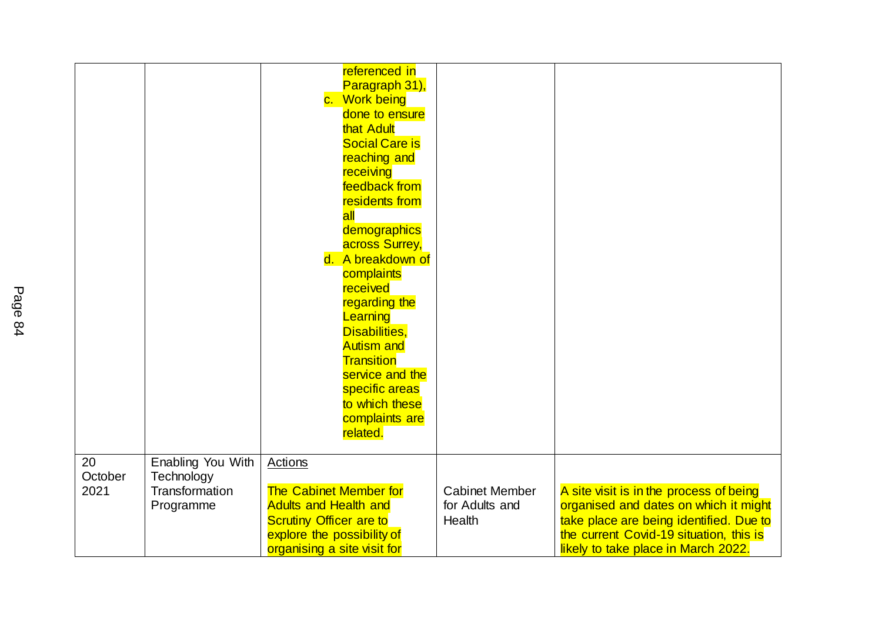| 20      |                                 | referenced in<br>Paragraph 31),<br>c. Work being<br>done to ensure<br>that Adult<br><b>Social Care is</b><br>reaching and<br>receiving<br>feedback from<br>residents from<br>$\overline{\mathsf{all}}$<br>demographics<br>across Surrey,<br>d. A breakdown of<br>complaints<br>received<br>regarding the<br>Learning<br>Disabilities,<br><b>Autism and</b><br>Transition<br>service and the<br>specific areas<br>to which these<br>complaints are<br>related. |                       |                                         |
|---------|---------------------------------|---------------------------------------------------------------------------------------------------------------------------------------------------------------------------------------------------------------------------------------------------------------------------------------------------------------------------------------------------------------------------------------------------------------------------------------------------------------|-----------------------|-----------------------------------------|
| October | Enabling You With<br>Technology | Actions                                                                                                                                                                                                                                                                                                                                                                                                                                                       |                       |                                         |
| 2021    | Transformation                  | <b>The Cabinet Member for</b>                                                                                                                                                                                                                                                                                                                                                                                                                                 | <b>Cabinet Member</b> | A site visit is in the process of being |
|         | Programme                       | <b>Adults and Health and</b>                                                                                                                                                                                                                                                                                                                                                                                                                                  | for Adults and        | organised and dates on which it might   |
|         |                                 | <b>Scrutiny Officer are to</b>                                                                                                                                                                                                                                                                                                                                                                                                                                | Health                | take place are being identified. Due to |
|         |                                 | explore the possibility of                                                                                                                                                                                                                                                                                                                                                                                                                                    |                       | the current Covid-19 situation, this is |
|         |                                 | organising a site visit for                                                                                                                                                                                                                                                                                                                                                                                                                                   |                       | likely to take place in March 2022.     |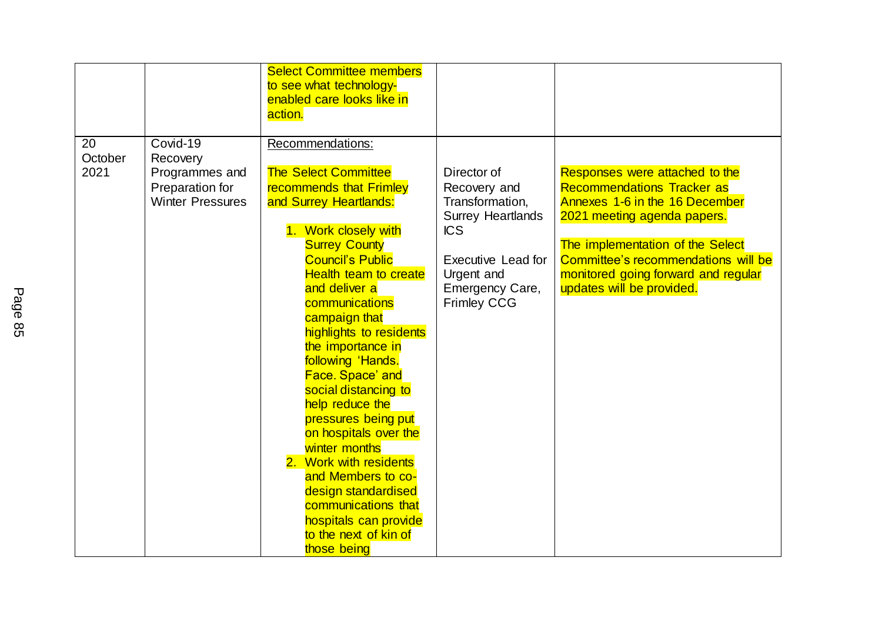|                       |                                                                                      | <b>Select Committee members</b><br>to see what technology-<br>enabled care looks like in<br>action.                                                                                                                                                                                                                                                                                                                                                                                                                                                                                                                                     |                                                                                                                                                                              |                                                                                                                                                                                                                                                                                     |
|-----------------------|--------------------------------------------------------------------------------------|-----------------------------------------------------------------------------------------------------------------------------------------------------------------------------------------------------------------------------------------------------------------------------------------------------------------------------------------------------------------------------------------------------------------------------------------------------------------------------------------------------------------------------------------------------------------------------------------------------------------------------------------|------------------------------------------------------------------------------------------------------------------------------------------------------------------------------|-------------------------------------------------------------------------------------------------------------------------------------------------------------------------------------------------------------------------------------------------------------------------------------|
| 20<br>October<br>2021 | Covid-19<br>Recovery<br>Programmes and<br>Preparation for<br><b>Winter Pressures</b> | Recommendations:<br><b>The Select Committee</b><br>recommends that Frimley<br>and Surrey Heartlands:<br>1. Work closely with<br><b>Surrey County</b><br><b>Council's Public</b><br><b>Health team to create</b><br>and deliver a<br>communications<br>campaign that<br>highlights to residents<br>the importance in<br>following 'Hands.<br>Face. Space' and<br>social distancing to<br>help reduce the<br>pressures being put<br>on hospitals over the<br>winter months<br>2. Work with residents<br>and Members to co-<br>design standardised<br>communications that<br>hospitals can provide<br>to the next of kin of<br>those being | Director of<br>Recovery and<br>Transformation,<br><b>Surrey Heartlands</b><br><b>ICS</b><br><b>Executive Lead for</b><br>Urgent and<br>Emergency Care,<br><b>Frimley CCG</b> | Responses were attached to the<br><b>Recommendations Tracker as</b><br>Annexes 1-6 in the 16 December<br>2021 meeting agenda papers.<br>The implementation of the Select<br>Committee's recommendations will be<br>monitored going forward and regular<br>updates will be provided. |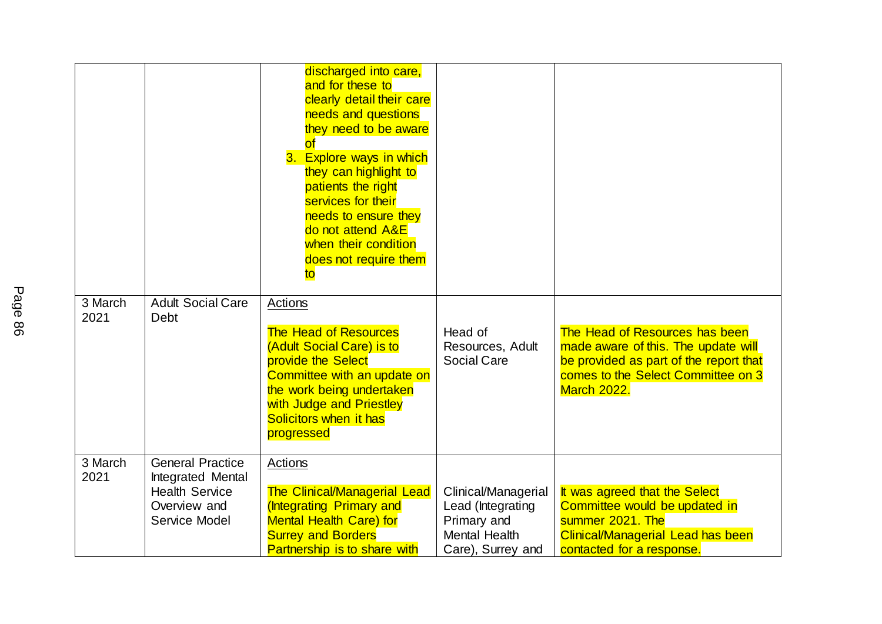|                 |                                                        | discharged into care,<br>and for these to<br>clearly detail their care<br>needs and questions<br>they need to be aware<br>of<br>3. Explore ways in which<br>they can highlight to<br>patients the right<br>services for their<br>needs to ensure they<br>do not attend A&E<br>when their condition<br>does not require them<br>to |                                                                                               |                                                                                                                                                                             |
|-----------------|--------------------------------------------------------|-----------------------------------------------------------------------------------------------------------------------------------------------------------------------------------------------------------------------------------------------------------------------------------------------------------------------------------|-----------------------------------------------------------------------------------------------|-----------------------------------------------------------------------------------------------------------------------------------------------------------------------------|
| 3 March<br>2021 | <b>Adult Social Care</b><br>Debt                       | Actions                                                                                                                                                                                                                                                                                                                           |                                                                                               |                                                                                                                                                                             |
|                 |                                                        | <b>The Head of Resources</b><br>(Adult Social Care) is to<br>provide the Select<br>Committee with an update on<br>the work being undertaken<br>with Judge and Priestley<br>Solicitors when it has<br>progressed                                                                                                                   | Head of<br>Resources, Adult<br><b>Social Care</b>                                             | The Head of Resources has been<br>made aware of this. The update will<br>be provided as part of the report that<br>comes to the Select Committee on 3<br><b>March 2022.</b> |
| 3 March<br>2021 | <b>General Practice</b><br>Integrated Mental           | Actions                                                                                                                                                                                                                                                                                                                           |                                                                                               |                                                                                                                                                                             |
|                 | <b>Health Service</b><br>Overview and<br>Service Model | <b>The Clinical/Managerial Lead</b><br>(Integrating Primary and<br><b>Mental Health Care) for</b><br><b>Surrey and Borders</b><br><b>Partnership is to share with</b>                                                                                                                                                             | Clinical/Managerial<br>Lead (Integrating<br>Primary and<br>Mental Health<br>Care), Surrey and | It was agreed that the Select<br>Committee would be updated in<br>summer 2021. The<br><b>Clinical/Managerial Lead has been</b><br>contacted for a response.                 |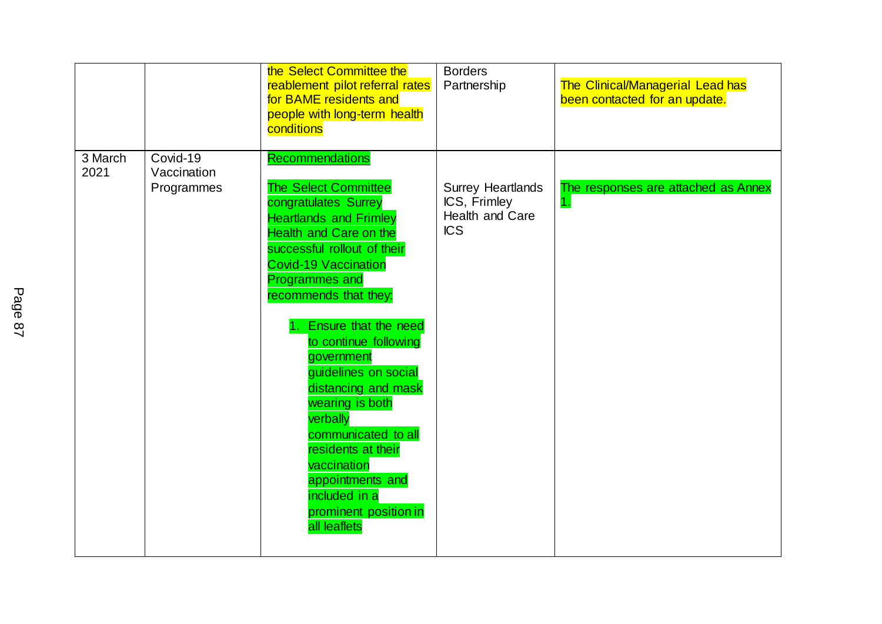|                 |                                       | the Select Committee the<br>reablement pilot referral rates<br>for BAME residents and<br>people with long-term health<br>conditions                                                                                                                                                                                                                                                                                                                                                                                                             | <b>Borders</b><br>Partnership                                             | <b>The Clinical/Managerial Lead has</b><br>been contacted for an update. |
|-----------------|---------------------------------------|-------------------------------------------------------------------------------------------------------------------------------------------------------------------------------------------------------------------------------------------------------------------------------------------------------------------------------------------------------------------------------------------------------------------------------------------------------------------------------------------------------------------------------------------------|---------------------------------------------------------------------------|--------------------------------------------------------------------------|
| 3 March<br>2021 | Covid-19<br>Vaccination<br>Programmes | <b>Recommendations</b><br>The Select Committee<br>congratulates Surrey<br><b>Heartlands and Frimley</b><br><b>Health and Care on the</b><br>successful rollout of their<br><b>Covid-19 Vaccination</b><br><b>Programmes and</b><br>recommends that they:<br>Ensure that the need<br>to continue following<br>government<br>quidelines on social<br>distancing and mask<br>wearing is both<br>verbally<br>communicated to all<br>residents at their<br>vaccination<br>appointments and<br>included in a<br>prominent position in<br>all leaflets | <b>Surrey Heartlands</b><br>ICS, Frimley<br>Health and Care<br><b>ICS</b> | The responses are attached as Annex<br>$\mathbf{1}$ .                    |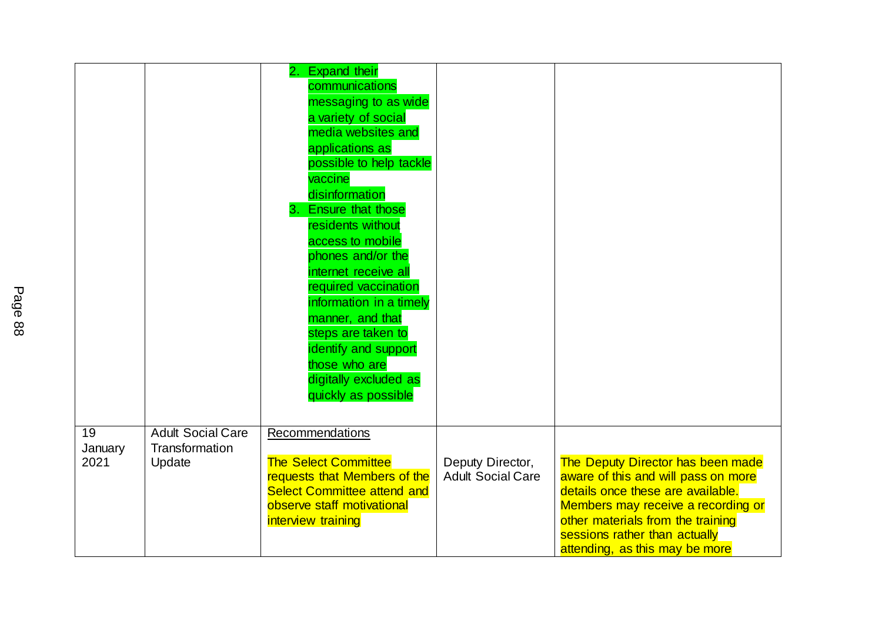|                       |                                                      | <b>Expand their</b><br>2.<br>communications<br>messaging to as wide<br>a variety of social<br>media websites and<br>applications as<br>possible to help tackle<br>vaccine<br>disinformation<br>3. Ensure that those<br>residents without<br>access to mobile<br>phones and/or the<br>internet receive all<br>required vaccination<br>information in a timely<br>manner, and that<br>steps are taken to<br>identify and support<br>those who are<br>digitally excluded as<br>quickly as possible |                                              |                                                                                                                                                                                                                                                             |
|-----------------------|------------------------------------------------------|-------------------------------------------------------------------------------------------------------------------------------------------------------------------------------------------------------------------------------------------------------------------------------------------------------------------------------------------------------------------------------------------------------------------------------------------------------------------------------------------------|----------------------------------------------|-------------------------------------------------------------------------------------------------------------------------------------------------------------------------------------------------------------------------------------------------------------|
| 19<br>January<br>2021 | <b>Adult Social Care</b><br>Transformation<br>Update | Recommendations<br><b>The Select Committee</b><br>requests that Members of the<br><b>Select Committee attend and</b><br>observe staff motivational<br>interview training                                                                                                                                                                                                                                                                                                                        | Deputy Director,<br><b>Adult Social Care</b> | The Deputy Director has been made<br>aware of this and will pass on more<br>details once these are available.<br>Members may receive a recording or<br>other materials from the training<br>sessions rather than actually<br>attending, as this may be more |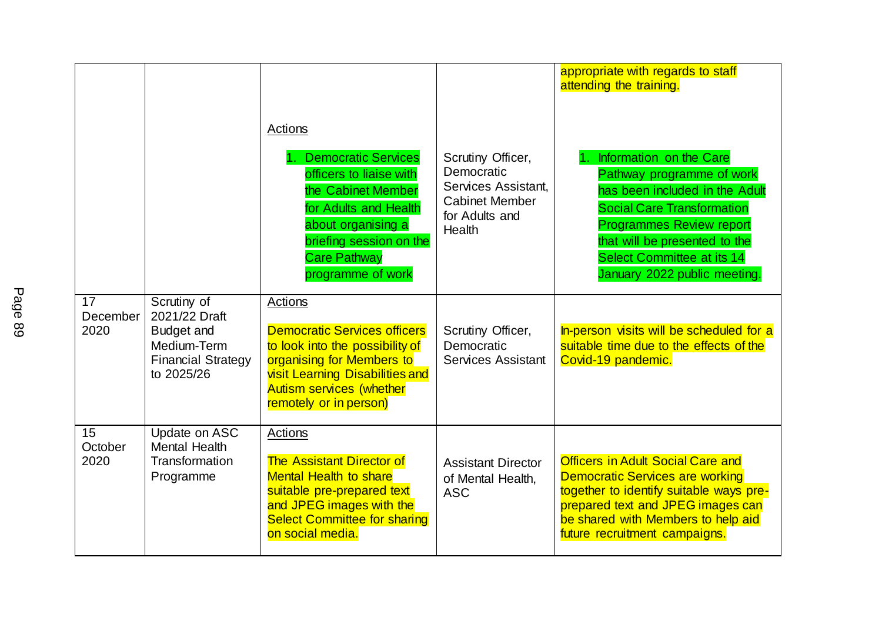|                        |                                                                                                             | Actions<br><b>Democratic Services</b><br>officers to liaise with<br>the Cabinet Member<br>for Adults and Health<br>about organising a<br>briefing session on the<br><b>Care Pathway</b><br>programme of work          | Scrutiny Officer,<br>Democratic<br>Services Assistant,<br><b>Cabinet Member</b><br>for Adults and<br><b>Health</b> | appropriate with regards to staff<br>attending the training.<br>Information on the Care<br>Pathway programme of work<br>has been included in the Adult<br><b>Social Care Transformation</b><br><b>Programmes Review report</b><br>that will be presented to the<br>Select Committee at its 14<br>January 2022 public meeting. |
|------------------------|-------------------------------------------------------------------------------------------------------------|-----------------------------------------------------------------------------------------------------------------------------------------------------------------------------------------------------------------------|--------------------------------------------------------------------------------------------------------------------|-------------------------------------------------------------------------------------------------------------------------------------------------------------------------------------------------------------------------------------------------------------------------------------------------------------------------------|
| 17<br>December<br>2020 | Scrutiny of<br>2021/22 Draft<br><b>Budget and</b><br>Medium-Term<br><b>Financial Strategy</b><br>to 2025/26 | Actions<br><b>Democratic Services officers</b><br>to look into the possibility of<br>organising for Members to<br><b>visit Learning Disabilities and</b><br><b>Autism services (whether</b><br>remotely or in person) | Scrutiny Officer,<br>Democratic<br><b>Services Assistant</b>                                                       | In-person visits will be scheduled for a<br>suitable time due to the effects of the<br>Covid-19 pandemic.                                                                                                                                                                                                                     |
| 15<br>October<br>2020  | Update on ASC<br><b>Mental Health</b><br>Transformation<br>Programme                                        | Actions<br><b>The Assistant Director of</b><br><b>Mental Health to share</b><br>suitable pre-prepared text<br>and JPEG images with the<br><b>Select Committee for sharing</b><br>on social media.                     | <b>Assistant Director</b><br>of Mental Health,<br><b>ASC</b>                                                       | <b>Officers in Adult Social Care and</b><br><b>Democratic Services are working</b><br>together to identify suitable ways pre-<br>prepared text and JPEG images can<br>be shared with Members to help aid<br>future recruitment campaigns.                                                                                     |